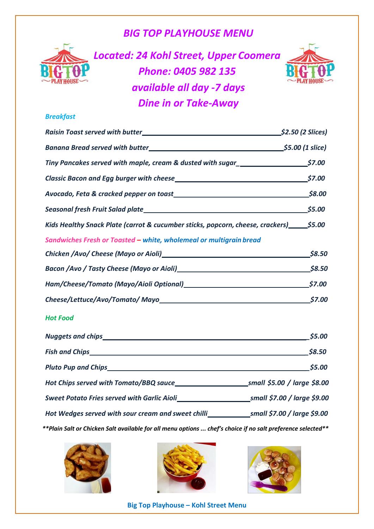## *BIG TOP PLAYHOUSE MENU*



*Located: 24 Kohl Street, Upper Coomera Phone: 0405 982 135 available all day -7 days Dine in or Take-Away*



### *Breakfast*

|                                                                                              | <b>_\$2.50 (2 Slices)</b> |
|----------------------------------------------------------------------------------------------|---------------------------|
|                                                                                              |                           |
| Tiny Pancakes served with maple, cream & dusted with sugar_______________________\$7.00      |                           |
| Classic Bacon and Egg burger with cheese 57.00                                               |                           |
| Avocado, Feta & cracked pepper on toast<br>58.00                                             |                           |
|                                                                                              |                           |
| Kids Healthy Snack Plate (carrot & cucumber sticks, popcorn, cheese, crackers) _______\$5.00 |                           |
| Sandwiches Fresh or Toasted – white, wholemeal or multigrain bread                           |                           |
|                                                                                              | \$8.50                    |
|                                                                                              |                           |
|                                                                                              | \$7.00                    |
|                                                                                              | \$7.00                    |

#### *Hot Food*

|                                                    | \$5.00                       |
|----------------------------------------------------|------------------------------|
|                                                    | \$8.50                       |
|                                                    | \$5.00                       |
|                                                    | small \$5.00 / large \$8.00  |
| Sweet Potato Fries served with Garlic Aioli        | small \$7.00 / large \$9.00  |
| Hot Wedges served with sour cream and sweet chilli | _small \$7.00 / large \$9.00 |
|                                                    |                              |

*\*\*Plain Salt or Chicken Salt available for all menu options ... chef's choice if no salt preference selected\*\**







**Big Top Playhouse – Kohl Street Menu**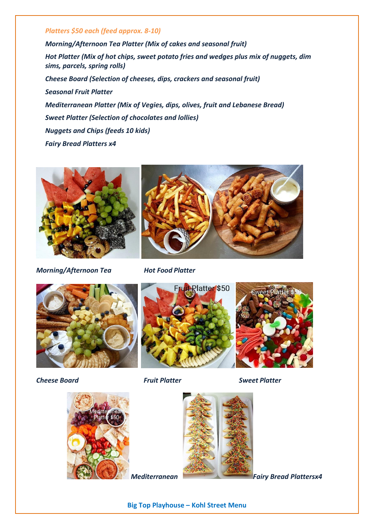#### *Platters \$50 each (feed approx. 8-10)*

*Morning/Afternoon Tea Platter (Mix of cakes and seasonal fruit) Hot Platter (Mix of hot chips, sweet potato fries and wedges plus mix of nuggets, dim sims, parcels, spring rolls) Cheese Board (Selection of cheeses, dips, crackers and seasonal fruit) Seasonal Fruit Platter Mediterranean Platter (Mix of Vegies, dips, olives, fruit and Lebanese Bread) Sweet Platter (Selection of chocolates and lollies) Nuggets and Chips (feeds 10 kids) Fairy Bread Platters x4*





Fruit-Rlatter \$50

*Morning/Afternoon Tea Hot Food Platter*





*Cheese Board Fruit Platter Sweet Platter* 





**Big Top Playhouse – Kohl Street Menu**